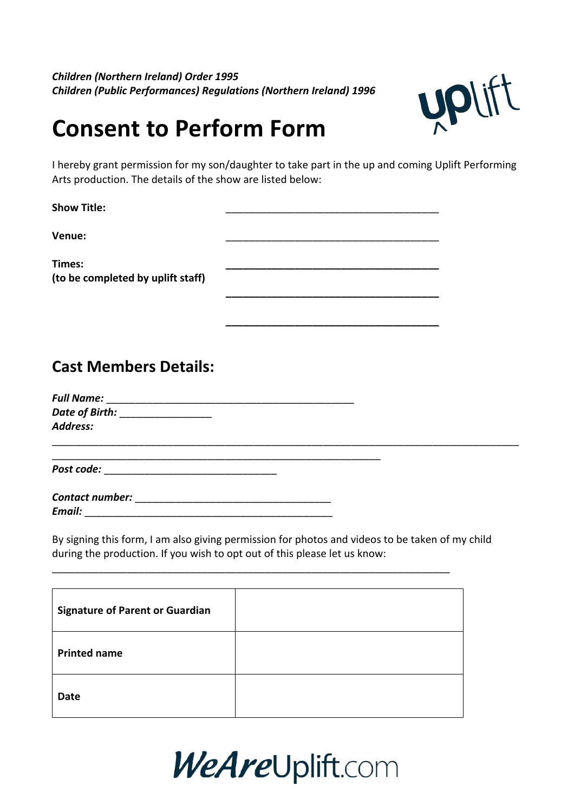*Children (Northern Ireland) Order 1995* **Children (Public Performances) Regulations (Northern Ireland) 1996** 



# **Consent to Perform Form**

I hereby grant permission for my son/daughter to take part in the up and coming Uplift Performing Arts production. The details of the show are listed below:

**\_\_\_\_\_\_\_\_\_\_\_\_\_\_\_\_\_\_\_\_\_\_\_\_\_\_\_\_\_\_\_\_\_\_\_\_\_**

**\_\_\_\_\_\_\_\_\_\_\_\_\_\_\_\_\_\_\_\_\_\_\_\_\_\_\_\_\_\_\_\_\_\_\_\_\_**

Show Title:

**Venue:** \_\_\_\_\_\_\_\_\_\_\_\_\_\_\_\_\_\_\_\_\_\_\_\_\_\_\_\_\_\_\_\_\_\_\_\_\_

**Times: \_\_\_\_\_\_\_\_\_\_\_\_\_\_\_\_\_\_\_\_\_\_\_\_\_\_\_\_\_\_\_\_\_\_\_\_\_ (to be completed by uplift staff)**

# **Cast Members Details:**

*Full Name:* \_\_\_\_\_\_\_\_\_\_\_\_\_\_\_\_\_\_\_\_\_\_\_\_\_\_\_\_\_\_\_\_\_\_\_\_\_\_\_\_\_\_\_ *Date of Birth:* \_\_\_\_\_\_\_\_\_\_\_\_\_\_\_\_\_\_ *Address:* \_\_\_\_\_\_\_\_\_\_\_\_\_\_\_\_\_\_\_\_\_\_\_\_\_\_\_\_\_\_\_\_\_\_\_\_\_\_\_\_\_\_\_\_\_\_\_\_\_\_\_\_\_\_\_\_\_\_\_\_\_\_\_\_\_\_\_\_\_\_\_\_\_\_\_\_\_\_\_\_\_

**Post code: \_\_\_\_\_\_\_\_\_\_\_\_\_\_\_\_\_\_\_\_\_\_\_\_\_\_\_\_\_\_\_\_** 

| <b>Contact number:</b> |  |
|------------------------|--|
| Email:                 |  |

By signing this form, I am also giving permission for photos and videos to be taken of my child during the production. If you wish to opt out of this please let us know:

| <b>Signature of Parent or Guardian</b> |  |
|----------------------------------------|--|
| <b>Printed name</b>                    |  |
| <b>Date</b>                            |  |

\_\_\_\_\_\_\_\_\_\_\_\_\_\_\_\_\_\_\_\_\_\_\_\_\_\_\_\_\_\_\_\_\_\_\_\_\_\_\_\_\_\_\_\_\_\_\_\_\_\_\_\_\_\_\_\_\_\_\_\_\_\_\_\_\_\_\_\_\_

# WeAreUplift.com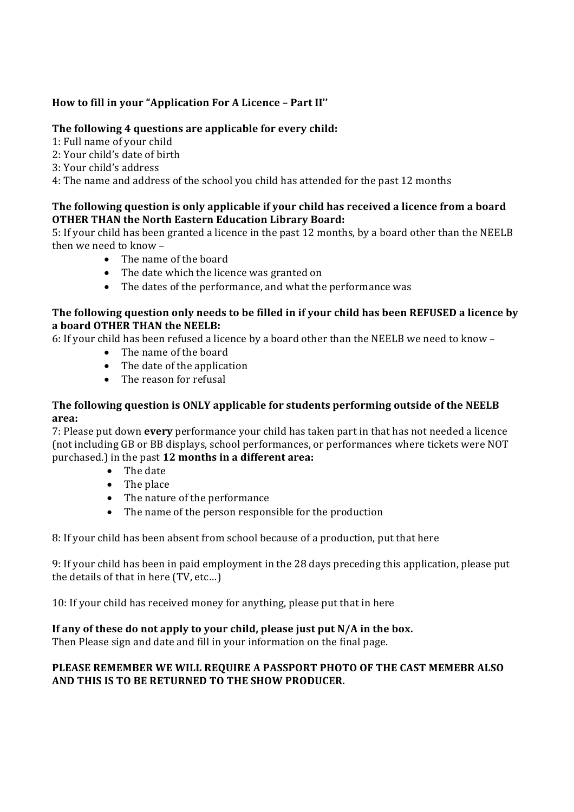#### How to fill in your "Application For A Licence - Part II"

#### The following 4 questions are applicable for every child:

- 1: Full name of your child
- 2: Your child's date of birth
- 3: Your child's address

4: The name and address of the school you child has attended for the past 12 months

#### The following question is only applicable if your child has received a licence from a board **OTHER THAN the North Eastern Education Library Board:**

5: If your child has been granted a licence in the past 12 months, by a board other than the NEELB then we need to know -

- The name of the board
- The date which the licence was granted on
- The dates of the performance, and what the performance was

#### The following question only needs to be filled in if your child has been REFUSED a licence by **a** board OTHER THAN the NEELB:

6: If vour child has been refused a licence by a board other than the NEELB we need to know -

- The name of the board
- $\bullet$  The date of the application
- $\bullet$  The reason for refusal

#### The following question is ONLY applicable for students performing outside of the NEELB **area:**

7: Please put down **every** performance your child has taken part in that has not needed a licence (not including GB or BB displays, school performances, or performances where tickets were NOT purchased.) in the past **12 months in a different area:** 

- The date
	- $\bullet$  The place
- The nature of the performance
- The name of the person responsible for the production

8: If your child has been absent from school because of a production, put that here

9: If your child has been in paid employment in the 28 days preceding this application, please put the details of that in here (TV, etc...)

10: If your child has received money for anything, please put that in here

#### If any of these do not apply to your child, please just put N/A in the box.

Then Please sign and date and fill in your information on the final page.

#### PLEASE REMEMBER WE WILL REQUIRE A PASSPORT PHOTO OF THE CAST MEMEBR ALSO AND THIS IS TO BE RETURNED TO THE SHOW PRODUCER.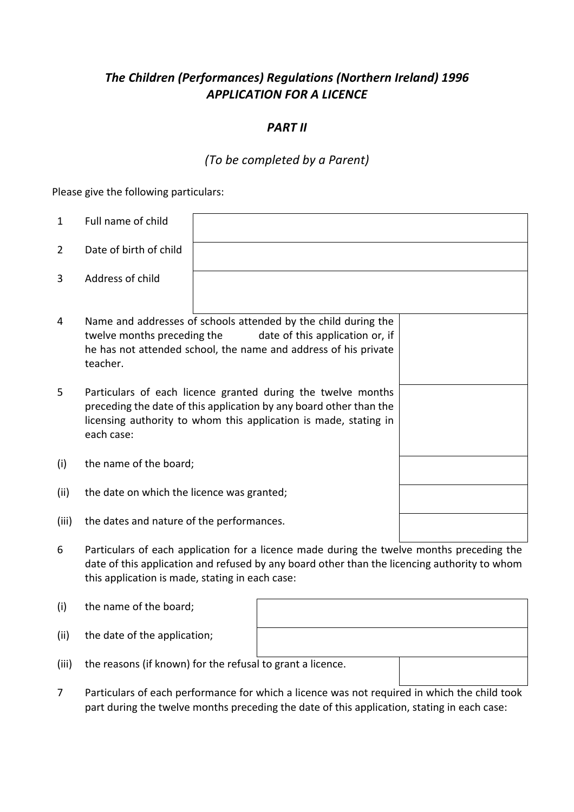## **The Children (Performances) Regulations (Northern Ireland) 1996** *APPLICATION FOR A LICENCE*

#### *PART II*

## *(To be completed by a Parent)*

Please give the following particulars:

| $\mathbf{1}$   | Full name of child                                                                                                                                                                                                   |                                                                                                                                                                                           |  |
|----------------|----------------------------------------------------------------------------------------------------------------------------------------------------------------------------------------------------------------------|-------------------------------------------------------------------------------------------------------------------------------------------------------------------------------------------|--|
| $\overline{2}$ | Date of birth of child                                                                                                                                                                                               |                                                                                                                                                                                           |  |
| 3              | Address of child                                                                                                                                                                                                     |                                                                                                                                                                                           |  |
| 4              | Name and addresses of schools attended by the child during the<br>twelve months preceding the<br>date of this application or, if<br>he has not attended school, the name and address of his private<br>teacher.      |                                                                                                                                                                                           |  |
| 5              | Particulars of each licence granted during the twelve months<br>preceding the date of this application by any board other than the<br>licensing authority to whom this application is made, stating in<br>each case: |                                                                                                                                                                                           |  |
| (i)            | the name of the board;                                                                                                                                                                                               |                                                                                                                                                                                           |  |
| (ii)           | the date on which the licence was granted;                                                                                                                                                                           |                                                                                                                                                                                           |  |
| (iii)          | the dates and nature of the performances.                                                                                                                                                                            |                                                                                                                                                                                           |  |
| 6              |                                                                                                                                                                                                                      | Particulars of each application for a licence made during the twelve months preceding the<br>date of this application and refused by any board other than the licencing authority to whom |  |

date of this application and refused by any board other than the licencing authority to whom this application is made, stating in each case:

| (i)   | the name of the board;                                     |  |
|-------|------------------------------------------------------------|--|
| (ii)  | the date of the application;                               |  |
| (iii) | the reasons (if known) for the refusal to grant a licence. |  |

7 Particulars of each performance for which a licence was not required in which the child took part during the twelve months preceding the date of this application, stating in each case: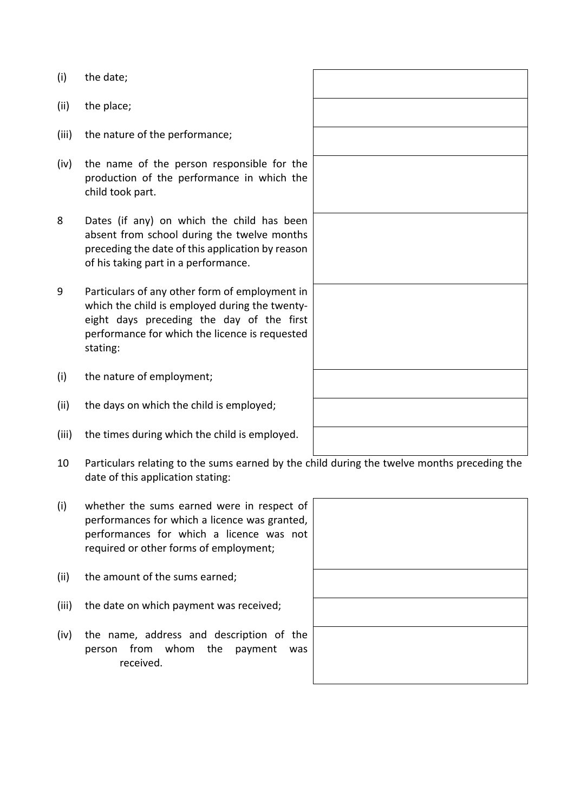- (i) the date;
- $(ii)$  the place;
- (iii) the nature of the performance:
- $(iv)$  the name of the person responsible for the production of the performance in which the child took part.
- 8 Dates (if any) on which the child has been absent from school during the twelve months preceding the date of this application by reason of his taking part in a performance.
- 9 Particulars of any other form of employment in which the child is employed during the twentyeight days preceding the day of the first performance for which the licence is requested stating:
- (i) the nature of employment;
- (ii) the days on which the child is employed;
- (iii) the times during which the child is employed.
- 10 Particulars relating to the sums earned by the child during the twelve months preceding the date of this application stating:
- $(i)$  whether the sums earned were in respect of performances for which a licence was granted, performances for which a licence was not required or other forms of employment;
- (ii) the amount of the sums earned;
- (iii) the date on which payment was received;
- (iv) the name, address and description of the person from whom the payment was received.